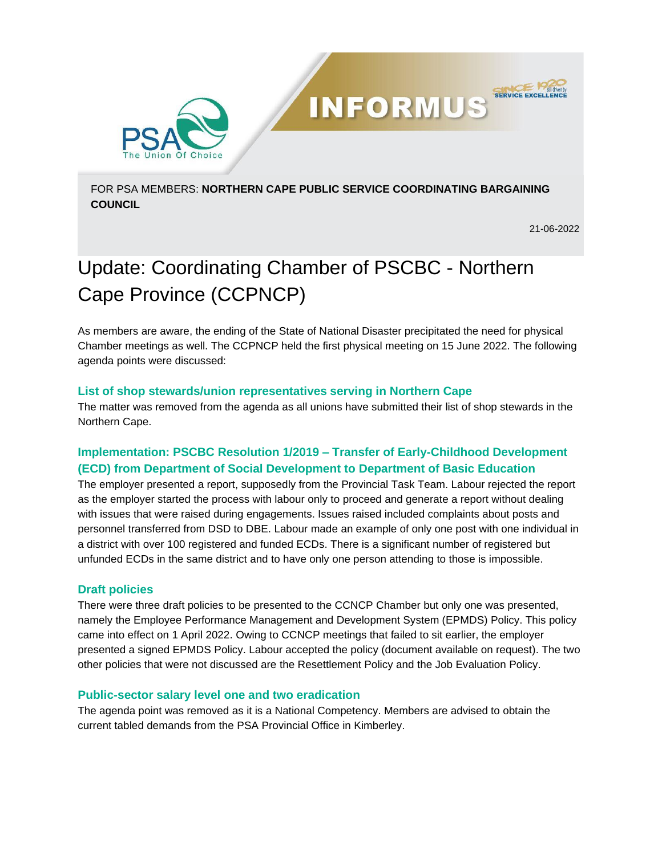

FOR PSA MEMBERS: **NORTHERN CAPE PUBLIC SERVICE COORDINATING BARGAINING COUNCIL** 

**INFORMUS** 

21-06-2022

**SERVICE EXCELL** 

# Update: Coordinating Chamber of PSCBC - Northern Cape Province (CCPNCP)

As members are aware, the ending of the State of National Disaster precipitated the need for physical Chamber meetings as well. The CCPNCP held the first physical meeting on 15 June 2022. The following agenda points were discussed:

## **List of shop stewards/union representatives serving in Northern Cape**

The matter was removed from the agenda as all unions have submitted their list of shop stewards in the Northern Cape.

# **Implementation: PSCBC Resolution 1/2019 – Transfer of Early-Childhood Development (ECD) from Department of Social Development to Department of Basic Education**

The employer presented a report, supposedly from the Provincial Task Team. Labour rejected the report as the employer started the process with labour only to proceed and generate a report without dealing with issues that were raised during engagements. Issues raised included complaints about posts and personnel transferred from DSD to DBE. Labour made an example of only one post with one individual in a district with over 100 registered and funded ECDs. There is a significant number of registered but unfunded ECDs in the same district and to have only one person attending to those is impossible.

# **Draft policies**

There were three draft policies to be presented to the CCNCP Chamber but only one was presented, namely the Employee Performance Management and Development System (EPMDS) Policy. This policy came into effect on 1 April 2022. Owing to CCNCP meetings that failed to sit earlier, the employer presented a signed EPMDS Policy. Labour accepted the policy (document available on request). The two other policies that were not discussed are the Resettlement Policy and the Job Evaluation Policy.

#### **Public-sector salary level one and two eradication**

The agenda point was removed as it is a National Competency. Members are advised to obtain the current tabled demands from the PSA Provincial Office in Kimberley.